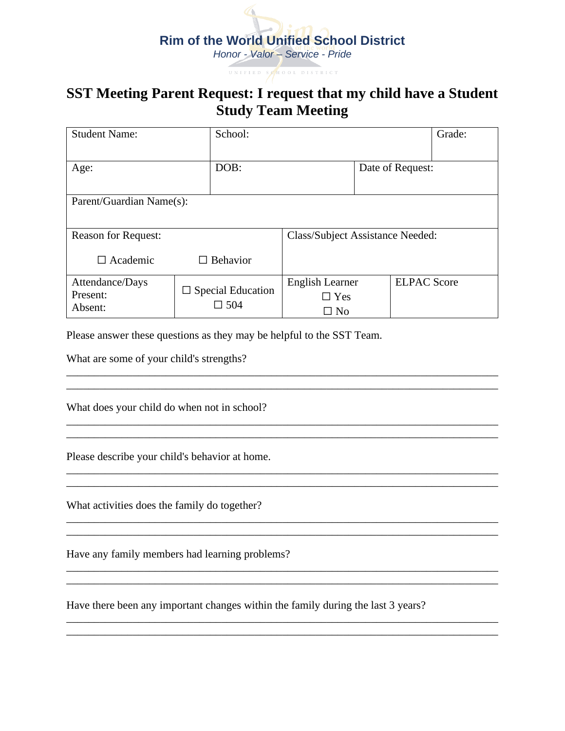## **Rim of the World Unified School District** *Honor - Valor – Service - Pride*

## **SST Meeting Parent Request: I request that my child have a Student Study Team Meeting**

UNIFIED SON OOL DISTRICT

| <b>Student Name:</b>                   | School:                                |                                            |                  | Grade:             |  |  |  |  |  |
|----------------------------------------|----------------------------------------|--------------------------------------------|------------------|--------------------|--|--|--|--|--|
| Age:                                   | DOB:                                   |                                            | Date of Request: |                    |  |  |  |  |  |
| Parent/Guardian Name(s):               |                                        |                                            |                  |                    |  |  |  |  |  |
| <b>Reason for Request:</b>             |                                        | Class/Subject Assistance Needed:           |                  |                    |  |  |  |  |  |
| $\Box$ Academic                        | $\Box$ Behavior                        |                                            |                  |                    |  |  |  |  |  |
| Attendance/Days<br>Present:<br>Absent: | $\Box$ Special Education<br>$\Box$ 504 | English Learner<br>$\Box$ Yes<br>$\Box$ No |                  | <b>ELPAC Score</b> |  |  |  |  |  |

Please answer these questions as they may be helpful to the SST Team.

\_\_\_\_\_\_\_\_\_\_\_\_\_\_\_\_\_\_\_\_\_\_\_\_\_\_\_\_\_\_\_\_\_\_\_\_\_\_\_\_\_\_\_\_\_\_\_\_\_\_\_\_\_\_\_\_\_\_\_\_\_\_\_\_\_\_\_\_\_\_\_\_\_\_\_\_\_\_

\_\_\_\_\_\_\_\_\_\_\_\_\_\_\_\_\_\_\_\_\_\_\_\_\_\_\_\_\_\_\_\_\_\_\_\_\_\_\_\_\_\_\_\_\_\_\_\_\_\_\_\_\_\_\_\_\_\_\_\_\_\_\_\_\_\_\_\_\_\_\_\_\_\_\_\_\_\_ \_\_\_\_\_\_\_\_\_\_\_\_\_\_\_\_\_\_\_\_\_\_\_\_\_\_\_\_\_\_\_\_\_\_\_\_\_\_\_\_\_\_\_\_\_\_\_\_\_\_\_\_\_\_\_\_\_\_\_\_\_\_\_\_\_\_\_\_\_\_\_\_\_\_\_\_\_\_

 $\ldots$  . The contribution of the contribution of the contribution of the contribution of the contribution of the contribution of the contribution of the contribution of the contribution of the contribution of the contribut \_\_\_\_\_\_\_\_\_\_\_\_\_\_\_\_\_\_\_\_\_\_\_\_\_\_\_\_\_\_\_\_\_\_\_\_\_\_\_\_\_\_\_\_\_\_\_\_\_\_\_\_\_\_\_\_\_\_\_\_\_\_\_\_\_\_\_\_\_\_\_\_\_\_\_\_\_\_

\_\_\_\_\_\_\_\_\_\_\_\_\_\_\_\_\_\_\_\_\_\_\_\_\_\_\_\_\_\_\_\_\_\_\_\_\_\_\_\_\_\_\_\_\_\_\_\_\_\_\_\_\_\_\_\_\_\_\_\_\_\_\_\_\_\_\_\_\_\_\_\_\_\_\_\_\_\_ \_\_\_\_\_\_\_\_\_\_\_\_\_\_\_\_\_\_\_\_\_\_\_\_\_\_\_\_\_\_\_\_\_\_\_\_\_\_\_\_\_\_\_\_\_\_\_\_\_\_\_\_\_\_\_\_\_\_\_\_\_\_\_\_\_\_\_\_\_\_\_\_\_\_\_\_\_\_

\_\_\_\_\_\_\_\_\_\_\_\_\_\_\_\_\_\_\_\_\_\_\_\_\_\_\_\_\_\_\_\_\_\_\_\_\_\_\_\_\_\_\_\_\_\_\_\_\_\_\_\_\_\_\_\_\_\_\_\_\_\_\_\_\_\_\_\_\_\_\_\_\_\_\_\_\_\_ \_\_\_\_\_\_\_\_\_\_\_\_\_\_\_\_\_\_\_\_\_\_\_\_\_\_\_\_\_\_\_\_\_\_\_\_\_\_\_\_\_\_\_\_\_\_\_\_\_\_\_\_\_\_\_\_\_\_\_\_\_\_\_\_\_\_\_\_\_\_\_\_\_\_\_\_\_\_

 $\mathcal{L}_\mathcal{L} = \mathcal{L}_\mathcal{L} = \mathcal{L}_\mathcal{L} = \mathcal{L}_\mathcal{L} = \mathcal{L}_\mathcal{L} = \mathcal{L}_\mathcal{L} = \mathcal{L}_\mathcal{L} = \mathcal{L}_\mathcal{L} = \mathcal{L}_\mathcal{L} = \mathcal{L}_\mathcal{L} = \mathcal{L}_\mathcal{L} = \mathcal{L}_\mathcal{L} = \mathcal{L}_\mathcal{L} = \mathcal{L}_\mathcal{L} = \mathcal{L}_\mathcal{L} = \mathcal{L}_\mathcal{L} = \mathcal{L}_\mathcal{L}$ 

What are some of your child's strengths?

What does your child do when not in school?

Please describe your child's behavior at home.

What activities does the family do together?

Have any family members had learning problems?

Have there been any important changes within the family during the last 3 years?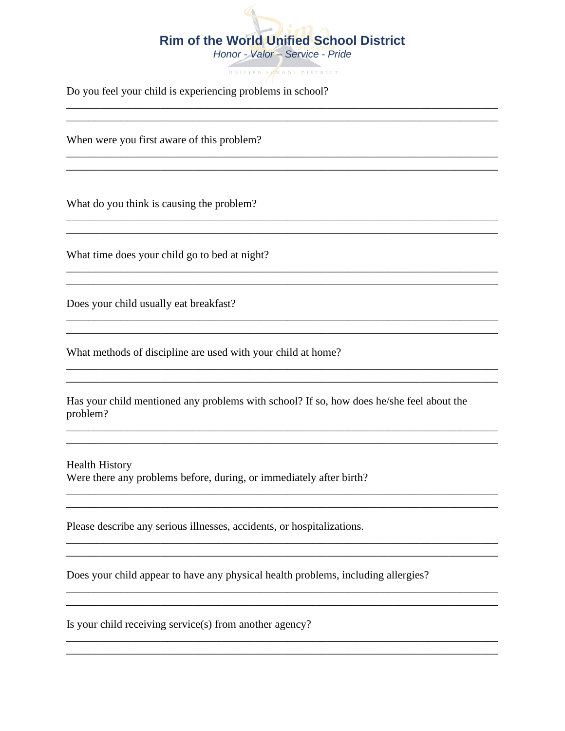## </u> **Rim of the World Unified School District**

Honor - Valor - Service - Pride

UNIFIED SOHOOL DISTRICT

<u> 1989 - Johann Stoff, amerikansk politiker (d. 1989)</u>

Do you feel your child is experiencing problems in school?

When were you first aware of this problem?

What do you think is causing the problem?

What time does your child go to bed at night?

Does your child usually eat breakfast?

What methods of discipline are used with your child at home?

|          |  | Has your child mentioned any problems with school? If so, how does he/she feel about the |  |  |  |  |  |
|----------|--|------------------------------------------------------------------------------------------|--|--|--|--|--|
| problem? |  |                                                                                          |  |  |  |  |  |

<u> 1989 - Johann Harry Harry Harry Harry Harry Harry Harry Harry Harry Harry Harry Harry Harry Harry Harry Harry</u>

<u> 1989 - Johann Stoff, amerikan bestein de stad i stoff fan de ferstjer fan de ferstjer fan de ferstjer fan de</u>

<u> 1989 - Jan Samuel Barbara, margaret e populari e populari e populari e populari e populari e populari e pop</u>

**Health History** Were there any problems before, during, or immediately after birth?

Please describe any serious illnesses, accidents, or hospitalizations.

Does your child appear to have any physical health problems, including allergies?

Is your child receiving service(s) from another agency?